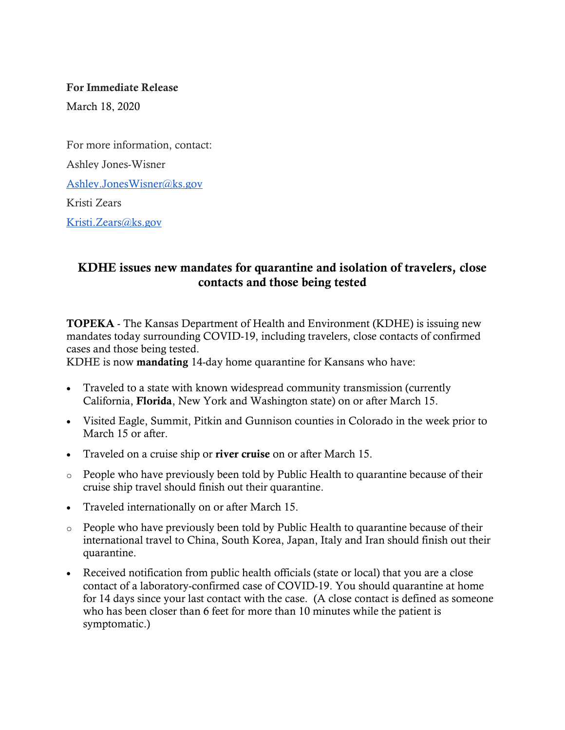#### For Immediate Release

March 18, 2020

For more information, contact: Ashley Jones-Wisner [Ashley.JonesWisner@ks.gov](mailto:Ashley.JonesWisner@ks.gov) Kristi Zears [Kristi.Zears@ks.gov](mailto:Kristi.Zears@ks.gov) 

# KDHE issues new mandates for quarantine and isolation of travelers, close contacts and those being tested

TOPEKA - The Kansas Department of Health and Environment (KDHE) is issuing new mandates today surrounding COVID-19, including travelers, close contacts of confirmed cases and those being tested.

KDHE is now mandating 14-day home quarantine for Kansans who have:

- Traveled to a state with known widespread community transmission (currently California, Florida, New York and Washington state) on or after March 15.
- Visited Eagle, Summit, Pitkin and Gunnison counties in Colorado in the week prior to March 15 or after.
- Traveled on a cruise ship or river cruise on or after March 15.
- o People who have previously been told by Public Health to quarantine because of their cruise ship travel should finish out their quarantine.
- Traveled internationally on or after March 15.
- o People who have previously been told by Public Health to quarantine because of their international travel to China, South Korea, Japan, Italy and Iran should finish out their quarantine.
- Received notification from public health officials (state or local) that you are a close contact of a laboratory-confirmed case of COVID-19. You should quarantine at home for 14 days since your last contact with the case. (A close contact is defined as someone who has been closer than 6 feet for more than 10 minutes while the patient is symptomatic.)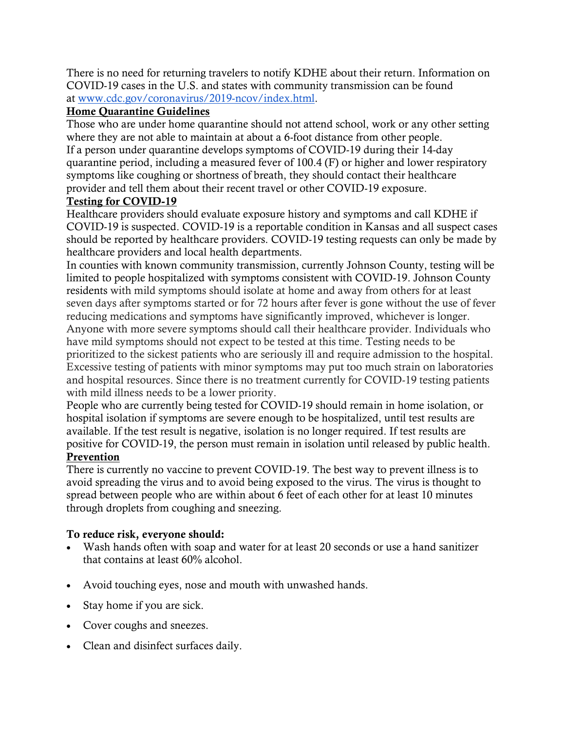There is no need for returning travelers to notify KDHE about their return. Information on COVID-19 cases in the U.S. and states with community transmission can be found at [www.cdc.gov/coronavirus/2019-ncov/index.html.](https://gcc01.safelinks.protection.outlook.com/?url=http%3A%2F%2Fwww.cdc.gov%2Fcoronavirus%2F2019-ncov%2Findex.html&data=02%7C01%7C%7C6cce6db4259f4318515108d7cb80c906%7Cdcae8101c92d480cbc43c6761ccccc5a%7C0%7C0%7C637201626289069435&sdata=vfq8RNsgDqfUkvBVZNP9RC%2FXG%2F%2BH2Xm4GgC7FgYz5R0%3D&reserved=0)

## Home Quarantine Guidelines

Those who are under home quarantine should not attend school, work or any other setting where they are not able to maintain at about a 6-foot distance from other people. If a person under quarantine develops symptoms of COVID-19 during their 14-day quarantine period, including a measured fever of 100.4 (F) or higher and lower respiratory symptoms like coughing or shortness of breath, they should contact their healthcare provider and tell them about their recent travel or other COVID-19 exposure.

#### Testing for COVID-19

Healthcare providers should evaluate exposure history and symptoms and call KDHE if COVID-19 is suspected. COVID-19 is a reportable condition in Kansas and all suspect cases should be reported by healthcare providers. COVID-19 testing requests can only be made by healthcare providers and local health departments.

In counties with known community transmission, currently Johnson County, testing will be limited to people hospitalized with symptoms consistent with COVID-19. Johnson County residents with mild symptoms should isolate at home and away from others for at least seven days after symptoms started or for 72 hours after fever is gone without the use of fever reducing medications and symptoms have significantly improved, whichever is longer. Anyone with more severe symptoms should call their healthcare provider. Individuals who have mild symptoms should not expect to be tested at this time. Testing needs to be prioritized to the sickest patients who are seriously ill and require admission to the hospital. Excessive testing of patients with minor symptoms may put too much strain on laboratories and hospital resources. Since there is no treatment currently for COVID-19 testing patients with mild illness needs to be a lower priority.

People who are currently being tested for COVID-19 should remain in home isolation, or hospital isolation if symptoms are severe enough to be hospitalized, until test results are available. If the test result is negative, isolation is no longer required. If test results are positive for COVID-19, the person must remain in isolation until released by public health. Prevention

There is currently no vaccine to prevent COVID-19. The best way to prevent illness is to avoid spreading the virus and to avoid being exposed to the virus. The virus is thought to spread between people who are within about 6 feet of each other for at least 10 minutes through droplets from coughing and sneezing.

## To reduce risk, everyone should:

- Wash hands often with soap and water for at least 20 seconds or use a hand sanitizer that contains at least 60% alcohol.
- Avoid touching eyes, nose and mouth with unwashed hands.
- Stay home if you are sick.
- Cover coughs and sneezes.
- Clean and disinfect surfaces daily.